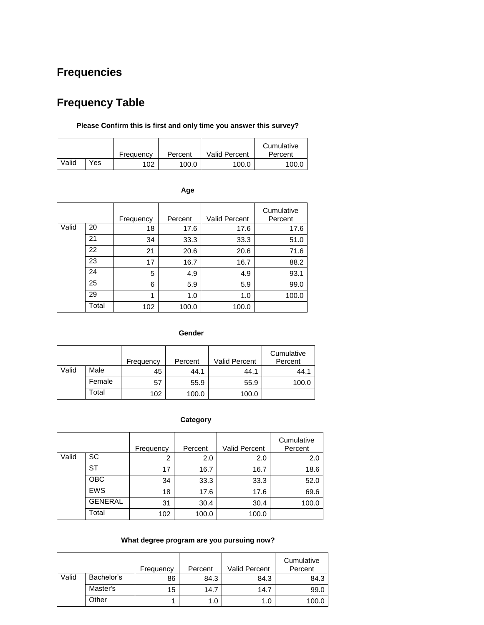# **Frequencies**

# **Frequency Table**

# **Please Confirm this is first and only time you answer this survey?**

|       |     | Frequency | Percent | <b>Valid Percent</b> | Cumulative<br>Percent |
|-------|-----|-----------|---------|----------------------|-----------------------|
| Valid | Yes | 102       | 100.0   | 100.0                | 100.0                 |

| ۰.<br>×<br>$\sim$ |
|-------------------|
|-------------------|

|       |       | Frequency | Percent | <b>Valid Percent</b> | Cumulative<br>Percent |
|-------|-------|-----------|---------|----------------------|-----------------------|
| Valid | 20    | 18        | 17.6    | 17.6                 | 17.6                  |
|       | 21    | 34        | 33.3    | 33.3                 | 51.0                  |
|       | 22    | 21        | 20.6    | 20.6                 | 71.6                  |
|       | 23    | 17        | 16.7    | 16.7                 | 88.2                  |
|       | 24    | 5         | 4.9     | 4.9                  | 93.1                  |
|       | 25    | 6         | 5.9     | 5.9                  | 99.0                  |
|       | 29    | 1         | 1.0     | 1.0                  | 100.0                 |
|       | Total | 102       | 100.0   | 100.0                |                       |

#### **Gender**

|       |        | Frequency | Percent | Valid Percent | Cumulative<br>Percent |
|-------|--------|-----------|---------|---------------|-----------------------|
| Valid | Male   | 45        | 44.1    | 44.1          | 44.1                  |
|       | Female | 57        | 55.9    | 55.9          | 100.0                 |
|       | Total  | 102       | 100.0   | 100.0         |                       |

# **Category**

|       |                | Frequency      | Percent | <b>Valid Percent</b> | Cumulative<br>Percent |
|-------|----------------|----------------|---------|----------------------|-----------------------|
| Valid | SC             | $\overline{2}$ | 2.0     | 2.0                  | 2.0                   |
|       | <b>ST</b>      | 17             | 16.7    | 16.7                 | 18.6                  |
|       | <b>OBC</b>     | 34             | 33.3    | 33.3                 | 52.0                  |
|       | <b>EWS</b>     | 18             | 17.6    | 17.6                 | 69.6                  |
|       | <b>GENERAL</b> | 31             | 30.4    | 30.4                 | 100.0                 |
|       | Total          | 102            | 100.0   | 100.0                |                       |

# **What degree program are you pursuing now?**

|       |            | Frequency | Percent | <b>Valid Percent</b> | Cumulative<br>Percent |
|-------|------------|-----------|---------|----------------------|-----------------------|
| Valid | Bachelor's | 86        | 84.3    | 84.3                 | 84.3                  |
|       | Master's   | 15        | 14.7    | 14.7                 | 99.0                  |
|       | Other      |           | 1.0     | 1.0                  | 100.0                 |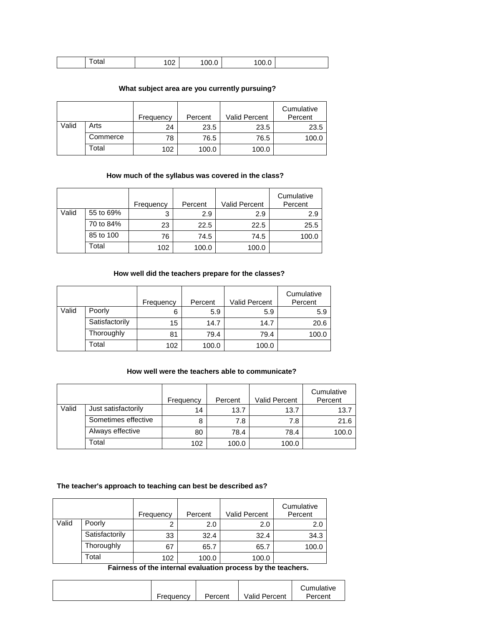| . .<br>Jidi | $\sim$<br>1 V 4 | 00.0 | JU.U |  |
|-------------|-----------------|------|------|--|
|-------------|-----------------|------|------|--|

# **What subject area are you currently pursuing?**

|       |          | Frequency | Percent | Valid Percent | Cumulative<br>Percent |
|-------|----------|-----------|---------|---------------|-----------------------|
| Valid | Arts     | 24        | 23.5    | 23.5          | 23.5                  |
|       | Commerce | 78        | 76.5    | 76.5          | 100.0                 |
|       | Total    | 102       | 100.0   | 100.0         |                       |

# **How much of the syllabus was covered in the class?**

|       |           | Frequency | Percent | Valid Percent | Cumulative<br>Percent |
|-------|-----------|-----------|---------|---------------|-----------------------|
| Valid | 55 to 69% | 3         | 2.9     | 2.9           | 2.9                   |
|       | 70 to 84% | 23        | 22.5    | 22.5          | 25.5                  |
|       | 85 to 100 | 76        | 74.5    | 74.5          | 100.0                 |
|       | Total     | 102       | 100.0   | 100.0         |                       |

# **How well did the teachers prepare for the classes?**

|       |                | Frequency | Percent | <b>Valid Percent</b> | Cumulative<br>Percent |
|-------|----------------|-----------|---------|----------------------|-----------------------|
| Valid | Poorly         | 6         | 5.9     | 5.9                  | 5.9                   |
|       | Satisfactorily | 15        | 14.7    | 14.7                 | 20.6                  |
|       | Thoroughly     | 81        | 79.4    | 79.4                 | 100.0                 |
|       | Total          | 102       | 100.0   | 100.0                |                       |

### **How well were the teachers able to communicate?**

|       |                     | Frequency | Percent | <b>Valid Percent</b> | Cumulative<br>Percent |
|-------|---------------------|-----------|---------|----------------------|-----------------------|
| Valid | Just satisfactorily | 14        | 13.7    | 13.7                 | 13.7                  |
|       | Sometimes effective |           | 7.8     | 7.8                  | 21.6                  |
|       | Always effective    | 80        | 78.4    | 78.4                 | 100.0                 |
|       | Total               | 102       | 100.0   | 100.0                |                       |

#### **The teacher's approach to teaching can best be described as?**

|       |                | Frequency | Percent | <b>Valid Percent</b> | Cumulative<br>Percent |
|-------|----------------|-----------|---------|----------------------|-----------------------|
| Valid | Poorly         | ⌒         | 2.0     | 2.0                  | 2.0                   |
|       | Satisfactorily | 33        | 32.4    | 32.4                 | 34.3                  |
|       | Thoroughly     | 67        | 65.7    | 65.7                 | 100.0                 |
|       | Total          | 102       | 100.0   | 100.0                |                       |

**Fairness of the internal evaluation process by the teachers.**

|           |         |                      | Cumulative |
|-----------|---------|----------------------|------------|
| Frequency | Percent | <b>Valid Percent</b> | Percent    |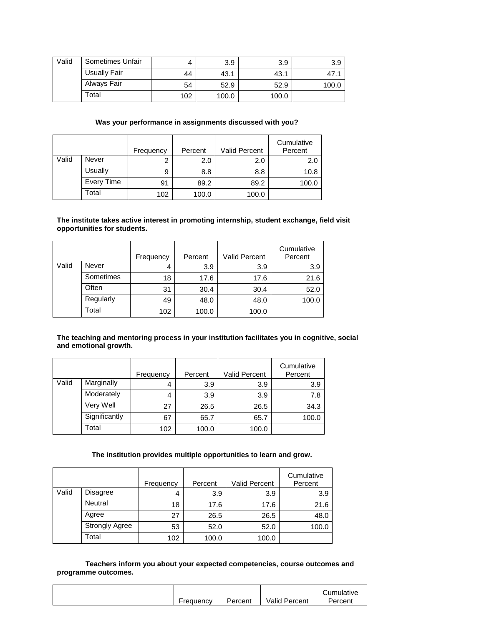| Valid | Sometimes Unfair |     | 3.9   | 3.9   | 3.9   |
|-------|------------------|-----|-------|-------|-------|
|       | Usually Fair     | 44  | 43.1  | 43.1  | 47    |
|       | Always Fair      | 54  | 52.9  | 52.9  | 100.0 |
|       | Total            | 102 | 100.0 | 100.0 |       |

## **Was your performance in assignments discussed with you?**

|       |            | Frequency | Percent | Valid Percent | Cumulative<br>Percent |
|-------|------------|-----------|---------|---------------|-----------------------|
| Valid | Never      |           | 2.0     | 2.0           | 2.0                   |
|       | Usually    | 9         | 8.8     | 8.8           | 10.8                  |
|       | Every Time | 91        | 89.2    | 89.2          | 100.0                 |
|       | Total      | 102       | 100.0   | 100.0         |                       |

#### **The institute takes active interest in promoting internship, student exchange, field visit opportunities for students.**

|       |           | Frequency | Percent | <b>Valid Percent</b> | Cumulative<br>Percent |
|-------|-----------|-----------|---------|----------------------|-----------------------|
| Valid | Never     | 4         | 3.9     | 3.9                  | 3.9                   |
|       | Sometimes | 18        | 17.6    | 17.6                 | 21.6                  |
|       | Often     | 31        | 30.4    | 30.4                 | 52.0                  |
|       | Regularly | 49        | 48.0    | 48.0                 | 100.0                 |
|       | Total     | 102       | 100.0   | 100.0                |                       |

## **The teaching and mentoring process in your institution facilitates you in cognitive, social and emotional growth.**

|       |               | Frequency | Percent | <b>Valid Percent</b> | Cumulative<br>Percent |
|-------|---------------|-----------|---------|----------------------|-----------------------|
| Valid | Marginally    | 4         | 3.9     | 3.9                  | 3.9                   |
|       | Moderately    | 4         | 3.9     | 3.9                  | 7.8                   |
|       | Very Well     | 27        | 26.5    | 26.5                 | 34.3                  |
|       | Significantly | 67        | 65.7    | 65.7                 | 100.0                 |
|       | Total         | 102       | 100.0   | 100.0                |                       |

#### **The institution provides multiple opportunities to learn and grow.**

|       |                       | Frequency | Percent | Valid Percent | Cumulative<br>Percent |
|-------|-----------------------|-----------|---------|---------------|-----------------------|
| Valid | Disagree              | 4         | 3.9     | 3.9           | 3.9                   |
|       | Neutral               | 18        | 17.6    | 17.6          | 21.6                  |
|       | Agree                 | 27        | 26.5    | 26.5          | 48.0                  |
|       | <b>Strongly Agree</b> | 53        | 52.0    | 52.0          | 100.0                 |
|       | Total                 | 102       | 100.0   | 100.0         |                       |

**Teachers inform you about your expected competencies, course outcomes and programme outcomes.**

|           |         |                      | Cumulative |
|-----------|---------|----------------------|------------|
| Frequency | Percent | <b>Valid Percent</b> | Percent    |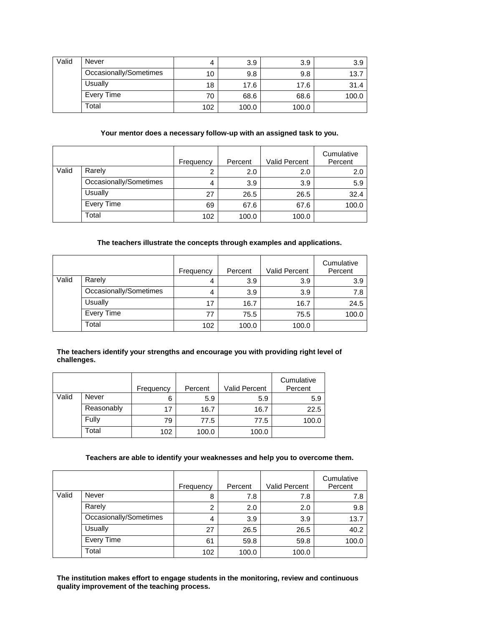| Valid | Never                  | 4   | 3.9   | 3.9   | 3.9   |
|-------|------------------------|-----|-------|-------|-------|
|       | Occasionally/Sometimes | 10  | 9.8   | 9.8   | 13.7  |
|       | Usually                | 18  | 17.6  | 17.6  | 31.4  |
|       | Every Time             | 70  | 68.6  | 68.6  | 100.0 |
|       | Total                  | 102 | 100.0 | 100.0 |       |

### **Your mentor does a necessary follow-up with an assigned task to you.**

|       |                        | Frequency | Percent | Valid Percent | Cumulative<br>Percent |
|-------|------------------------|-----------|---------|---------------|-----------------------|
| Valid | Rarely                 |           | 2.0     | 2.0           | 2.0                   |
|       | Occasionally/Sometimes | 4         | 3.9     | 3.9           | 5.9                   |
|       | Usually                | 27        | 26.5    | 26.5          | 32.4                  |
|       | Every Time             | 69        | 67.6    | 67.6          | 100.0                 |
|       | Total                  | 102       | 100.0   | 100.0         |                       |

#### **The teachers illustrate the concepts through examples and applications.**

|       |                        | Frequency | Percent | Valid Percent | Cumulative<br>Percent |
|-------|------------------------|-----------|---------|---------------|-----------------------|
| Valid | Rarely                 | 4         | 3.9     | 3.9           | 3.9                   |
|       | Occasionally/Sometimes | 4         | 3.9     | 3.9           | 7.8                   |
|       | Usually                | 17        | 16.7    | 16.7          | 24.5                  |
|       | Every Time             |           | 75.5    | 75.5          | 100.0                 |
|       | Total                  | 102       | 100.0   | 100.0         |                       |

#### **The teachers identify your strengths and encourage you with providing right level of challenges.**

|       |            | Frequency | Percent | <b>Valid Percent</b> | Cumulative<br>Percent |
|-------|------------|-----------|---------|----------------------|-----------------------|
| Valid | Never      | 6         | 5.9     | 5.9                  | 5.9                   |
|       | Reasonably | 17        | 16.7    | 16.7                 | 22.5                  |
|       | Fully      | 79        | 77.5    | 77.5                 | 100.0                 |
|       | Total      | 102       | 100.0   | 100.0                |                       |

## **Teachers are able to identify your weaknesses and help you to overcome them.**

|       |                        | Frequency | Percent | <b>Valid Percent</b> | Cumulative<br>Percent |
|-------|------------------------|-----------|---------|----------------------|-----------------------|
| Valid | Never                  | 8         | 7.8     | 7.8                  | 7.8                   |
|       | Rarely                 | 2         | 2.0     | 2.0                  | 9.8                   |
|       | Occasionally/Sometimes | 4         | 3.9     | 3.9                  | 13.7                  |
|       | Usually                | 27        | 26.5    | 26.5                 | 40.2                  |
|       | Every Time             | 61        | 59.8    | 59.8                 | 100.0                 |
|       | Total                  | 102       | 100.0   | 100.0                |                       |

**The institution makes effort to engage students in the monitoring, review and continuous quality improvement of the teaching process.**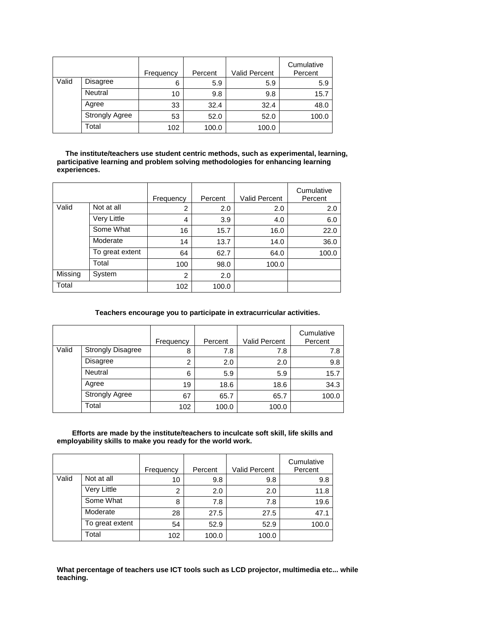|       |                       | Frequency | Percent | <b>Valid Percent</b> | Cumulative<br>Percent |
|-------|-----------------------|-----------|---------|----------------------|-----------------------|
| Valid | Disagree              | 6         | 5.9     | 5.9                  | 5.9                   |
|       | Neutral               | 10        | 9.8     | 9.8                  | 15.7                  |
|       | Agree                 | 33        | 32.4    | 32.4                 | 48.0                  |
|       | <b>Strongly Agree</b> | 53        | 52.0    | 52.0                 | 100.0                 |
|       | Total                 | 102       | 100.0   | 100.0                |                       |

**The institute/teachers use student centric methods, such as experimental, learning, participative learning and problem solving methodologies for enhancing learning experiences.**

|         |                 | Frequency      | Percent | <b>Valid Percent</b> | Cumulative<br>Percent |
|---------|-----------------|----------------|---------|----------------------|-----------------------|
| Valid   | Not at all      | $\overline{2}$ | 2.0     | 2.0                  | 2.0                   |
|         | Very Little     | 4              | 3.9     | 4.0                  | 6.0                   |
|         | Some What       | 16             | 15.7    | 16.0                 | 22.0                  |
|         | Moderate        | 14             | 13.7    | 14.0                 | 36.0                  |
|         | To great extent | 64             | 62.7    | 64.0                 | 100.0                 |
|         | Total           | 100            | 98.0    | 100.0                |                       |
| Missing | System          | $\overline{2}$ | 2.0     |                      |                       |
| Total   |                 | 102            | 100.0   |                      |                       |

#### **Teachers encourage you to participate in extracurricular activities.**

|       |                          | Frequency | Percent | <b>Valid Percent</b> | Cumulative<br>Percent |
|-------|--------------------------|-----------|---------|----------------------|-----------------------|
| Valid | <b>Strongly Disagree</b> | 8         | 7.8     | 7.8                  | 7.8                   |
|       | Disagree                 | 2         | 2.0     | 2.0                  | 9.8                   |
|       | Neutral                  | 6         | 5.9     | 5.9                  | 15.7                  |
|       | Agree                    | 19        | 18.6    | 18.6                 | 34.3                  |
|       | <b>Strongly Agree</b>    | 67        | 65.7    | 65.7                 | 100.0                 |
|       | Total                    | 102       | 100.0   | 100.0                |                       |

**Efforts are made by the institute/teachers to inculcate soft skill, life skills and employability skills to make you ready for the world work.**

|       |                 | Frequency     | Percent | <b>Valid Percent</b> | Cumulative<br>Percent |
|-------|-----------------|---------------|---------|----------------------|-----------------------|
| Valid | Not at all      | 10            | 9.8     | 9.8                  | 9.8                   |
|       | Very Little     | $\mathcal{P}$ | 2.0     | 2.0                  | 11.8                  |
|       | Some What       | 8             | 7.8     | 7.8                  | 19.6                  |
|       | Moderate        | 28            | 27.5    | 27.5                 | 47.1                  |
|       | To great extent | 54            | 52.9    | 52.9                 | 100.0                 |
|       | Total           | 102           | 100.0   | 100.0                |                       |

**What percentage of teachers use ICT tools such as LCD projector, multimedia etc... while teaching.**